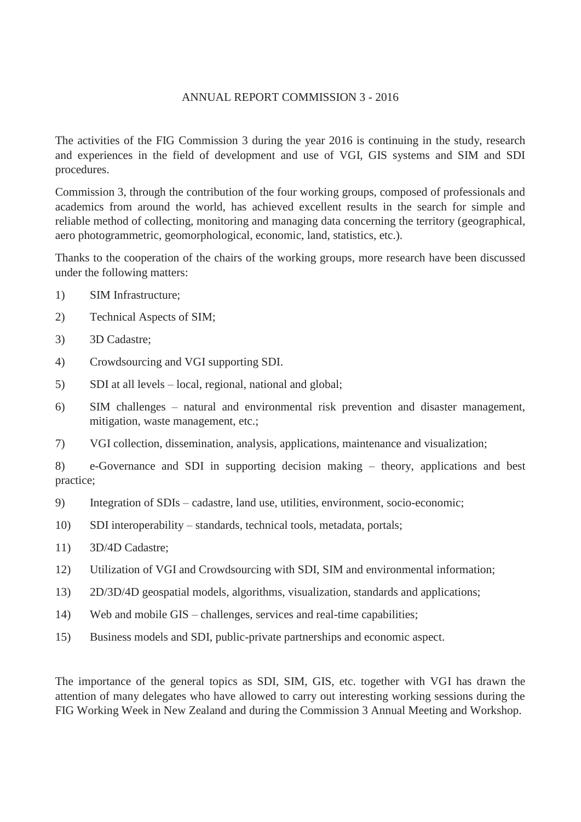## ANNUAL REPORT COMMISSION 3 - 2016

The activities of the FIG Commission 3 during the year 2016 is continuing in the study, research and experiences in the field of development and use of VGI, GIS systems and SIM and SDI procedures.

Commission 3, through the contribution of the four working groups, composed of professionals and academics from around the world, has achieved excellent results in the search for simple and reliable method of collecting, monitoring and managing data concerning the territory (geographical, aero photogrammetric, geomorphological, economic, land, statistics, etc.).

Thanks to the cooperation of the chairs of the working groups, more research have been discussed under the following matters:

- 1) SIM Infrastructure;
- 2) Technical Aspects of SIM;
- 3) 3D Cadastre;
- 4) Crowdsourcing and VGI supporting SDI.
- 5) SDI at all levels local, regional, national and global;
- 6) SIM challenges natural and environmental risk prevention and disaster management, mitigation, waste management, etc.;
- 7) VGI collection, dissemination, analysis, applications, maintenance and visualization;

8) e-Governance and SDI in supporting decision making – theory, applications and best practice;

- 9) Integration of SDIs cadastre, land use, utilities, environment, socio-economic;
- 10) SDI interoperability standards, technical tools, metadata, portals;
- 11) 3D/4D Cadastre;
- 12) Utilization of VGI and Crowdsourcing with SDI, SIM and environmental information;
- 13) 2D/3D/4D geospatial models, algorithms, visualization, standards and applications;
- 14) Web and mobile GIS challenges, services and real-time capabilities;
- 15) Business models and SDI, public-private partnerships and economic aspect.

The importance of the general topics as SDI, SIM, GIS, etc. together with VGI has drawn the attention of many delegates who have allowed to carry out interesting working sessions during the FIG Working Week in New Zealand and during the Commission 3 Annual Meeting and Workshop.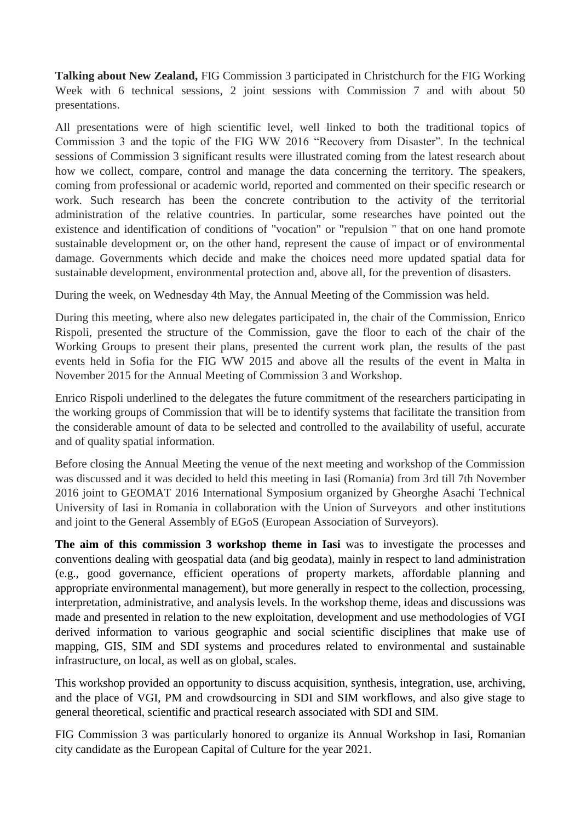**Talking about New Zealand,** FIG Commission 3 participated in Christchurch for the FIG Working Week with 6 technical sessions, 2 joint sessions with Commission 7 and with about 50 presentations.

All presentations were of high scientific level, well linked to both the traditional topics of Commission 3 and the topic of the FIG WW 2016 "Recovery from Disaster". In the technical sessions of Commission 3 significant results were illustrated coming from the latest research about how we collect, compare, control and manage the data concerning the territory. The speakers, coming from professional or academic world, reported and commented on their specific research or work. Such research has been the concrete contribution to the activity of the territorial administration of the relative countries. In particular, some researches have pointed out the existence and identification of conditions of "vocation" or "repulsion " that on one hand promote sustainable development or, on the other hand, represent the cause of impact or of environmental damage. Governments which decide and make the choices need more updated spatial data for sustainable development, environmental protection and, above all, for the prevention of disasters.

During the week, on Wednesday 4th May, the Annual Meeting of the Commission was held.

During this meeting, where also new delegates participated in, the chair of the Commission, Enrico Rispoli, presented the structure of the Commission, gave the floor to each of the chair of the Working Groups to present their plans, presented the current work plan, the results of the past events held in Sofia for the FIG WW 2015 and above all the results of the event in Malta in November 2015 for the Annual Meeting of Commission 3 and Workshop.

Enrico Rispoli underlined to the delegates the future commitment of the researchers participating in the working groups of Commission that will be to identify systems that facilitate the transition from the considerable amount of data to be selected and controlled to the availability of useful, accurate and of quality spatial information.

Before closing the Annual Meeting the venue of the next meeting and workshop of the Commission was discussed and it was decided to held this meeting in Iasi (Romania) from 3rd till 7th November 2016 joint to GEOMAT 2016 International Symposium organized by Gheorghe Asachi Technical University of Iasi in Romania in collaboration with the Union of Surveyors and other institutions and joint to the General Assembly of EGoS (European Association of Surveyors).

**The aim of this commission 3 workshop theme in Iasi** was to investigate the processes and conventions dealing with geospatial data (and big geodata), mainly in respect to land administration (e.g., good governance, efficient operations of property markets, affordable planning and appropriate environmental management), but more generally in respect to the collection, processing, interpretation, administrative, and analysis levels. In the workshop theme, ideas and discussions was made and presented in relation to the new exploitation, development and use methodologies of VGI derived information to various geographic and social scientific disciplines that make use of mapping, GIS, SIM and SDI systems and procedures related to environmental and sustainable infrastructure, on local, as well as on global, scales.

This workshop provided an opportunity to discuss acquisition, synthesis, integration, use, archiving, and the place of VGI, PM and crowdsourcing in SDI and SIM workflows, and also give stage to general theoretical, scientific and practical research associated with SDI and SIM.

FIG Commission 3 was particularly honored to organize its Annual Workshop in Iasi, Romanian city candidate as the European Capital of Culture for the year 2021.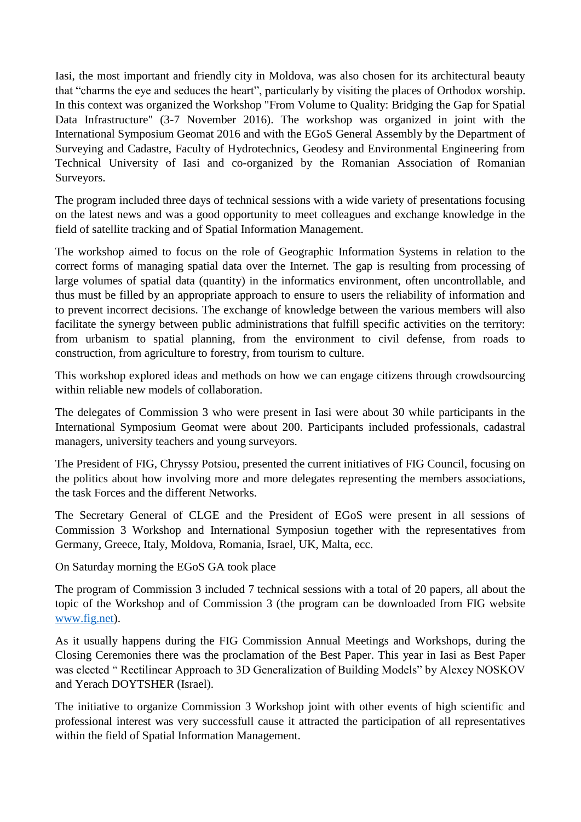Iasi, the most important and friendly city in Moldova, was also chosen for its architectural beauty that "charms the eye and seduces the heart", particularly by visiting the places of Orthodox worship. In this context was organized the Workshop "From Volume to Quality: Bridging the Gap for Spatial Data Infrastructure" (3-7 November 2016). The workshop was organized in joint with the International Symposium Geomat 2016 and with the EGoS General Assembly by the Department of Surveying and Cadastre, Faculty of Hydrotechnics, Geodesy and Environmental Engineering from Technical University of Iasi and co-organized by the Romanian Association of Romanian Surveyors.

The program included three days of technical sessions with a wide variety of presentations focusing on the latest news and was a good opportunity to meet colleagues and exchange knowledge in the field of satellite tracking and of Spatial Information Management.

The workshop aimed to focus on the role of Geographic Information Systems in relation to the correct forms of managing spatial data over the Internet. The gap is resulting from processing of large volumes of spatial data (quantity) in the informatics environment, often uncontrollable, and thus must be filled by an appropriate approach to ensure to users the reliability of information and to prevent incorrect decisions. The exchange of knowledge between the various members will also facilitate the synergy between public administrations that fulfill specific activities on the territory: from urbanism to spatial planning, from the environment to civil defense, from roads to construction, from agriculture to forestry, from tourism to culture.

This workshop explored ideas and methods on how we can engage citizens through crowdsourcing within reliable new models of collaboration.

The delegates of Commission 3 who were present in Iasi were about 30 while participants in the International Symposium Geomat were about 200. Participants included professionals, cadastral managers, university teachers and young surveyors.

The President of FIG, Chryssy Potsiou, presented the current initiatives of FIG Council, focusing on the politics about how involving more and more delegates representing the members associations, the task Forces and the different Networks.

The Secretary General of CLGE and the President of EGoS were present in all sessions of Commission 3 Workshop and International Symposiun together with the representatives from Germany, Greece, Italy, Moldova, Romania, Israel, UK, Malta, ecc.

On Saturday morning the EGoS GA took place

The program of Commission 3 included 7 technical sessions with a total of 20 papers, all about the topic of the Workshop and of Commission 3 (the program can be downloaded from FIG website [www.fig.net\)](http://www.fig.net/).

As it usually happens during the FIG Commission Annual Meetings and Workshops, during the Closing Ceremonies there was the proclamation of the Best Paper. This year in Iasi as Best Paper was elected " Rectilinear Approach to 3D Generalization of Building Models" by Alexey NOSKOV and Yerach DOYTSHER (Israel).

The initiative to organize Commission 3 Workshop joint with other events of high scientific and professional interest was very successfull cause it attracted the participation of all representatives within the field of Spatial Information Management.